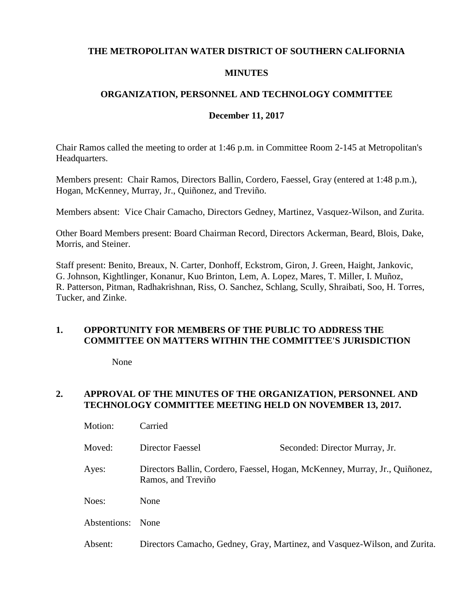#### **THE METROPOLITAN WATER DISTRICT OF SOUTHERN CALIFORNIA**

#### **MINUTES**

### **ORGANIZATION, PERSONNEL AND TECHNOLOGY COMMITTEE**

#### **December 11, 2017**

Chair Ramos called the meeting to order at 1:46 p.m. in Committee Room 2-145 at Metropolitan's Headquarters.

Members present: Chair Ramos, Directors Ballin, Cordero, Faessel, Gray (entered at 1:48 p.m.), Hogan, McKenney, Murray, Jr., Quiñonez, and Treviño.

Members absent: Vice Chair Camacho, Directors Gedney, Martinez, Vasquez-Wilson, and Zurita.

Other Board Members present: Board Chairman Record, Directors Ackerman, Beard, Blois, Dake, Morris, and Steiner.

Staff present: Benito, Breaux, N. Carter, Donhoff, Eckstrom, Giron, J. Green, Haight, Jankovic, G. Johnson, Kightlinger, Konanur, Kuo Brinton, Lem, A. Lopez, Mares, T. Miller, I. Muñoz, R. Patterson, Pitman, Radhakrishnan, Riss, O. Sanchez, Schlang, Scully, Shraibati, Soo, H. Torres, Tucker, and Zinke.

#### **1. OPPORTUNITY FOR MEMBERS OF THE PUBLIC TO ADDRESS THE COMMITTEE ON MATTERS WITHIN THE COMMITTEE'S JURISDICTION**

None

## **2. APPROVAL OF THE MINUTES OF THE ORGANIZATION, PERSONNEL AND TECHNOLOGY COMMITTEE MEETING HELD ON NOVEMBER 13, 2017.**

| Motion:      | Carried                                                                                           |                                                                            |
|--------------|---------------------------------------------------------------------------------------------------|----------------------------------------------------------------------------|
| Moved:       | Director Faessel                                                                                  | Seconded: Director Murray, Jr.                                             |
| Ayes:        | Directors Ballin, Cordero, Faessel, Hogan, McKenney, Murray, Jr., Quiñonez,<br>Ramos, and Treviño |                                                                            |
| Noes:        | None                                                                                              |                                                                            |
| Abstentions: | None                                                                                              |                                                                            |
| Absent:      |                                                                                                   | Directors Camacho, Gedney, Gray, Martinez, and Vasquez-Wilson, and Zurita. |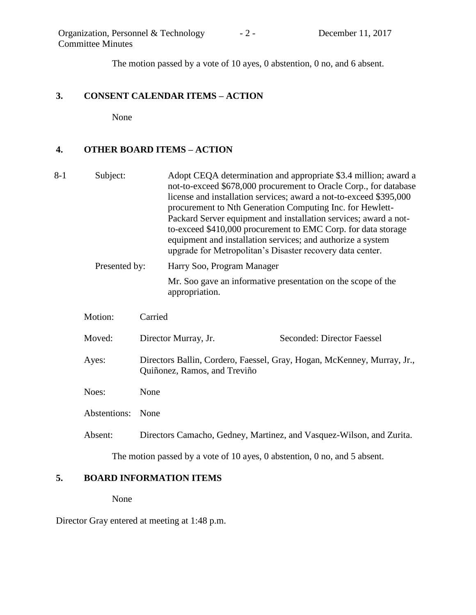The motion passed by a vote of 10 ayes, 0 abstention, 0 no, and 6 absent.

#### **3. CONSENT CALENDAR ITEMS – ACTION**

None

### **4. OTHER BOARD ITEMS – ACTION**

8-1 Subject: Adopt CEQA determination and appropriate \$3.4 million; award a not-to-exceed \$678,000 procurement to Oracle Corp., for database license and installation services; award a not-to-exceed \$395,000 procurement to Nth Generation Computing Inc. for Hewlett-Packard Server equipment and installation services; award a notto-exceed \$410,000 procurement to EMC Corp. for data storage equipment and installation services; and authorize a system upgrade for Metropolitan's Disaster recovery data center. Presented by: Harry Soo, Program Manager Mr. Soo gave an informative presentation on the scope of the appropriation.

| Motion:      | Carried                                                                                                 |                                                                      |  |
|--------------|---------------------------------------------------------------------------------------------------------|----------------------------------------------------------------------|--|
| Moved:       | Director Murray, Jr.                                                                                    | Seconded: Director Faessel                                           |  |
| Ayes:        | Directors Ballin, Cordero, Faessel, Gray, Hogan, McKenney, Murray, Jr.,<br>Quiñonez, Ramos, and Treviño |                                                                      |  |
| Noes:        | None                                                                                                    |                                                                      |  |
| Abstentions: | None                                                                                                    |                                                                      |  |
| Absent:      |                                                                                                         | Directors Camacho, Gedney, Martinez, and Vasquez-Wilson, and Zurita. |  |

The motion passed by a vote of 10 ayes, 0 abstention, 0 no, and 5 absent.

#### **5. BOARD INFORMATION ITEMS**

None

Director Gray entered at meeting at 1:48 p.m.